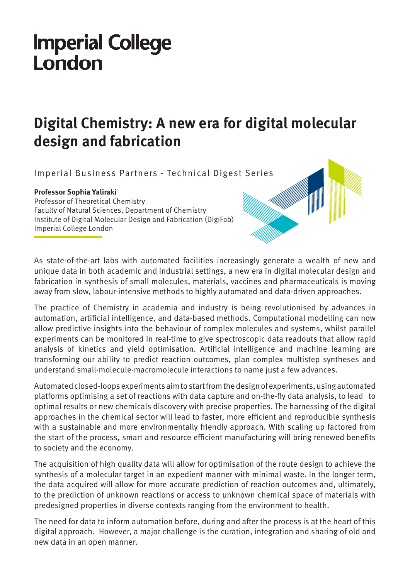## **Imperial College** London

## **Digital Chemistry: A new era for digital molecular design and fabrication**

Imperial Business Partners - Technical Digest Series

## **Professor Sophia Yaliraki**

Professor of Theoretical Chemistry Faculty of Natural Sciences, Department of Chemistry Institute of Digital Molecular Design and Fabrication (DigiFab) Imperial College London

As state-of-the-art labs with automated facilities increasingly generate a wealth of new and unique data in both academic and industrial settings, a new era in digital molecular design and fabrication in synthesis of small molecules, materials, vaccines and pharmaceuticals is moving away from slow, labour-intensive methods to highly automated and data-driven approaches.

The practice of Chemistry in academia and industry is being revolutionised by advances in automation, artificial intelligence, and data-based methods. Computational modelling can now allow predictive insights into the behaviour of complex molecules and systems, whilst parallel experiments can be monitored in real-time to give spectroscopic data readouts that allow rapid analysis of kinetics and yield optimisation. Artificial intelligence and machine learning are transforming our ability to predict reaction outcomes, plan complex multistep syntheses and understand small-molecule-macromolecule interactions to name just a few advances.

Automated closed-loops experiments aim to start from the design of experiments, using automated platforms optimising a set of reactions with data capture and on-the-fly data analysis, to lead to optimal results or new chemicals discovery with precise properties. The harnessing of the digital approaches in the chemical sector will lead to faster, more efficient and reproducible synthesis with a sustainable and more environmentally friendly approach. With scaling up factored from the start of the process, smart and resource efficient manufacturing will bring renewed benefits to society and the economy.

The acquisition of high quality data will allow for optimisation of the route design to achieve the synthesis of a molecular target in an expedient manner with minimal waste. In the longer term, the data acquired will allow for more accurate prediction of reaction outcomes and, ultimately, to the prediction of unknown reactions or access to unknown chemical space of materials with predesigned properties in diverse contexts ranging from the environment to health.

The need for data to inform automation before, during and after the process is at the heart of this digital approach. However, a major challenge is the curation, integration and sharing of old and new data in an open manner.